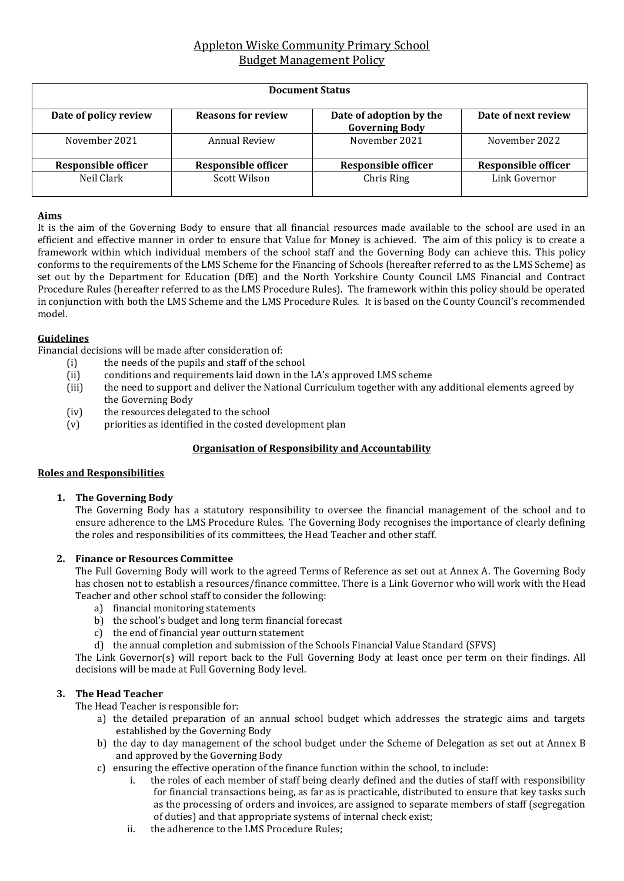# Appleton Wiske Community Primary School Budget Management Policy

| <b>Document Status</b> |                            |                                                  |                            |  |  |
|------------------------|----------------------------|--------------------------------------------------|----------------------------|--|--|
| Date of policy review  | <b>Reasons for review</b>  | Date of adoption by the<br><b>Governing Body</b> | Date of next review        |  |  |
| November 2021          | Annual Review              | November 2021                                    | November 2022              |  |  |
| Responsible officer    | <b>Responsible officer</b> | Responsible officer                              | <b>Responsible officer</b> |  |  |
| Neil Clark             | Scott Wilson               | Chris Ring                                       | Link Governor              |  |  |

#### **Aims**

It is the aim of the Governing Body to ensure that all financial resources made available to the school are used in an efficient and effective manner in order to ensure that Value for Money is achieved. The aim of this policy is to create a framework within which individual members of the school staff and the Governing Body can achieve this. This policy conforms to the requirements of the LMS Scheme for the Financing of Schools (hereafter referred to as the LMS Scheme) as set out by the Department for Education (DfE) and the North Yorkshire County Council LMS Financial and Contract Procedure Rules (hereafter referred to as the LMS Procedure Rules). The framework within this policy should be operated in conjunction with both the LMS Scheme and the LMS Procedure Rules. It is based on the County Council's recommended model.

### **Guidelines**

Financial decisions will be made after consideration of:

- (i) the needs of the pupils and staff of the school
- (ii) conditions and requirements laid down in the LA's approved LMS scheme
- (iii) the need to support and deliver the National Curriculum together with any additional elements agreed by the Governing Body
- (iv) the resources delegated to the school
- (v) priorities as identified in the costed development plan

### **Organisation of Responsibility and Accountability**

#### **Roles and Responsibilities**

#### **1. The Governing Body**

The Governing Body has a statutory responsibility to oversee the financial management of the school and to ensure adherence to the LMS Procedure Rules. The Governing Body recognises the importance of clearly defining the roles and responsibilities of its committees, the Head Teacher and other staff.

#### **2. Finance or Resources Committee**

The Full Governing Body will work to the agreed Terms of Reference as set out at Annex A. The Governing Body has chosen not to establish a resources/finance committee. There is a Link Governor who will work with the Head Teacher and other school staff to consider the following:

- a) financial monitoring statements
- b) the school's budget and long term financial forecast
- c) the end of financial year outturn statement
- d) the annual completion and submission of the Schools Financial Value Standard (SFVS)

The Link Governor(s) will report back to the Full Governing Body at least once per term on their findings. All decisions will be made at Full Governing Body level.

### **3. The Head Teacher**

The Head Teacher is responsible for:

- a) the detailed preparation of an annual school budget which addresses the strategic aims and targets established by the Governing Body
- b) the day to day management of the school budget under the Scheme of Delegation as set out at Annex B and approved by the Governing Body
- c) ensuring the effective operation of the finance function within the school, to include:
	- i. the roles of each member of staff being clearly defined and the duties of staff with responsibility for financial transactions being, as far as is practicable, distributed to ensure that key tasks such as the processing of orders and invoices, are assigned to separate members of staff (segregation of duties) and that appropriate systems of internal check exist;
	- ii. the adherence to the LMS Procedure Rules;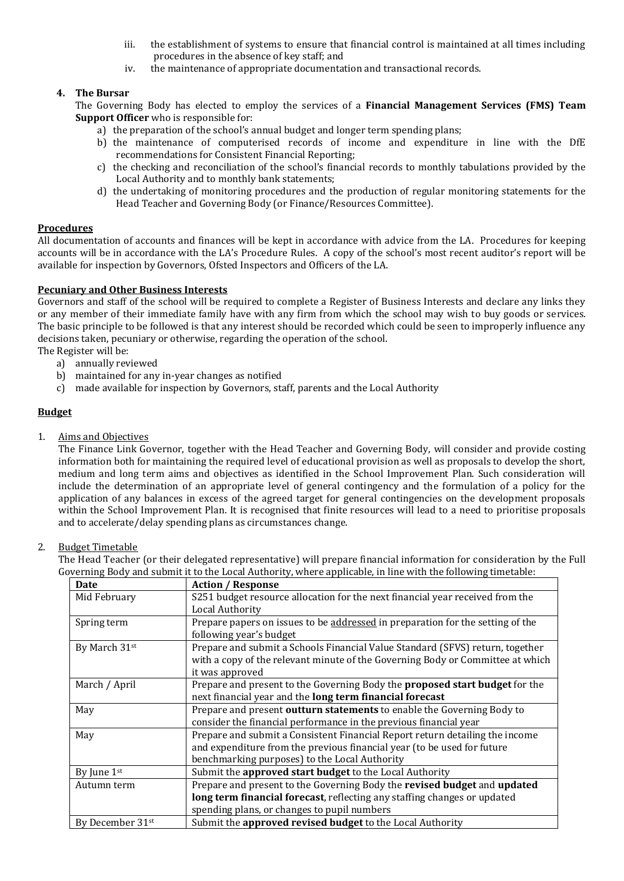- iii. the establishment of systems to ensure that financial control is maintained at all times including procedures in the absence of key staff; and
- iv. the maintenance of appropriate documentation and transactional records.

## **4. The Bursar**

The Governing Body has elected to employ the services of a **Financial Management Services (FMS) Team Support Officer** who is responsible for:

- a) the preparation of the school's annual budget and longer term spending plans;
- b) the maintenance of computerised records of income and expenditure in line with the DfE recommendations for Consistent Financial Reporting;
- c) the checking and reconciliation of the school's financial records to monthly tabulations provided by the Local Authority and to monthly bank statements;
- d) the undertaking of monitoring procedures and the production of regular monitoring statements for the Head Teacher and Governing Body (or Finance/Resources Committee).

## **Procedures**

All documentation of accounts and finances will be kept in accordance with advice from the LA. Procedures for keeping accounts will be in accordance with the LA's Procedure Rules. A copy of the school's most recent auditor's report will be available for inspection by Governors, Ofsted Inspectors and Officers of the LA.

### **Pecuniary and Other Business Interests**

Governors and staff of the school will be required to complete a Register of Business Interests and declare any links they or any member of their immediate family have with any firm from which the school may wish to buy goods or services. The basic principle to be followed is that any interest should be recorded which could be seen to improperly influence any decisions taken, pecuniary or otherwise, regarding the operation of the school. The Register will be:

- a) annually reviewed
- b) maintained for any in-year changes as notified
- c) made available for inspection by Governors, staff, parents and the Local Authority

## **Budget**

1. Aims and Objectives

The Finance Link Governor, together with the Head Teacher and Governing Body, will consider and provide costing information both for maintaining the required level of educational provision as well as proposals to develop the short, medium and long term aims and objectives as identified in the School Improvement Plan. Such consideration will include the determination of an appropriate level of general contingency and the formulation of a policy for the application of any balances in excess of the agreed target for general contingencies on the development proposals within the School Improvement Plan. It is recognised that finite resources will lead to a need to prioritise proposals and to accelerate/delay spending plans as circumstances change.

### 2. Budget Timetable

The Head Teacher (or their delegated representative) will prepare financial information for consideration by the Full Governing Body and submit it to the Local Authority, where applicable, in line with the following timetable:

| Date                         | <b>Action / Response</b>                                                       |
|------------------------------|--------------------------------------------------------------------------------|
| Mid February                 | S251 budget resource allocation for the next financial year received from the  |
|                              | Local Authority                                                                |
| Spring term                  | Prepare papers on issues to be addressed in preparation for the setting of the |
|                              | following year's budget                                                        |
| By March 31 <sup>st</sup>    | Prepare and submit a Schools Financial Value Standard (SFVS) return, together  |
|                              | with a copy of the relevant minute of the Governing Body or Committee at which |
|                              | it was approved                                                                |
| March / April                | Prepare and present to the Governing Body the proposed start budget for the    |
|                              | next financial year and the long term financial forecast                       |
| May                          | Prepare and present outturn statements to enable the Governing Body to         |
|                              | consider the financial performance in the previous financial year              |
| May                          | Prepare and submit a Consistent Financial Report return detailing the income   |
|                              | and expenditure from the previous financial year (to be used for future        |
|                              | benchmarking purposes) to the Local Authority                                  |
| By June $1st$                | Submit the approved start budget to the Local Authority                        |
| Autumn term                  | Prepare and present to the Governing Body the revised budget and updated       |
|                              | long term financial forecast, reflecting any staffing changes or updated       |
|                              | spending plans, or changes to pupil numbers                                    |
| By December 31 <sup>st</sup> | Submit the approved revised budget to the Local Authority                      |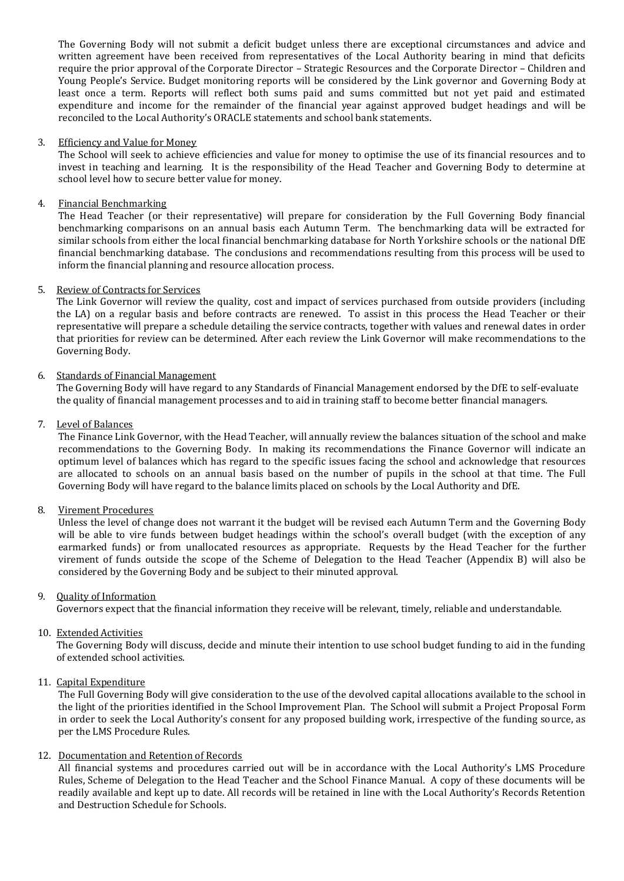The Governing Body will not submit a deficit budget unless there are exceptional circumstances and advice and written agreement have been received from representatives of the Local Authority bearing in mind that deficits require the prior approval of the Corporate Director – Strategic Resources and the Corporate Director – Children and Young People's Service. Budget monitoring reports will be considered by the Link governor and Governing Body at least once a term. Reports will reflect both sums paid and sums committed but not yet paid and estimated expenditure and income for the remainder of the financial year against approved budget headings and will be reconciled to the Local Authority's ORACLE statements and school bank statements.

#### 3. Efficiency and Value for Money

The School will seek to achieve efficiencies and value for money to optimise the use of its financial resources and to invest in teaching and learning. It is the responsibility of the Head Teacher and Governing Body to determine at school level how to secure better value for money.

#### 4. Financial Benchmarking

The Head Teacher (or their representative) will prepare for consideration by the Full Governing Body financial benchmarking comparisons on an annual basis each Autumn Term. The benchmarking data will be extracted for similar schools from either the local financial benchmarking database for North Yorkshire schools or the national DfE financial benchmarking database. The conclusions and recommendations resulting from this process will be used to inform the financial planning and resource allocation process.

#### 5. Review of Contracts for Services

The Link Governor will review the quality, cost and impact of services purchased from outside providers (including the LA) on a regular basis and before contracts are renewed. To assist in this process the Head Teacher or their representative will prepare a schedule detailing the service contracts, together with values and renewal dates in order that priorities for review can be determined. After each review the Link Governor will make recommendations to the Governing Body.

#### 6. Standards of Financial Management

The Governing Body will have regard to any Standards of Financial Management endorsed by the DfE to self-evaluate the quality of financial management processes and to aid in training staff to become better financial managers.

#### 7. Level of Balances

The Finance Link Governor, with the Head Teacher, will annually review the balances situation of the school and make recommendations to the Governing Body. In making its recommendations the Finance Governor will indicate an optimum level of balances which has regard to the specific issues facing the school and acknowledge that resources are allocated to schools on an annual basis based on the number of pupils in the school at that time. The Full Governing Body will have regard to the balance limits placed on schools by the Local Authority and DfE.

#### 8. Virement Procedures

Unless the level of change does not warrant it the budget will be revised each Autumn Term and the Governing Body will be able to vire funds between budget headings within the school's overall budget (with the exception of any earmarked funds) or from unallocated resources as appropriate. Requests by the Head Teacher for the further virement of funds outside the scope of the Scheme of Delegation to the Head Teacher (Appendix B) will also be considered by the Governing Body and be subject to their minuted approval.

#### 9. Quality of Information

Governors expect that the financial information they receive will be relevant, timely, reliable and understandable.

#### 10. Extended Activities

The Governing Body will discuss, decide and minute their intention to use school budget funding to aid in the funding of extended school activities.

### 11. Capital Expenditure

The Full Governing Body will give consideration to the use of the devolved capital allocations available to the school in the light of the priorities identified in the School Improvement Plan. The School will submit a Project Proposal Form in order to seek the Local Authority's consent for any proposed building work, irrespective of the funding source, as per the LMS Procedure Rules.

#### 12. Documentation and Retention of Records

All financial systems and procedures carried out will be in accordance with the Local Authority's LMS Procedure Rules, Scheme of Delegation to the Head Teacher and the School Finance Manual. A copy of these documents will be readily available and kept up to date. All records will be retained in line with the Local Authority's Records Retention and Destruction Schedule for Schools.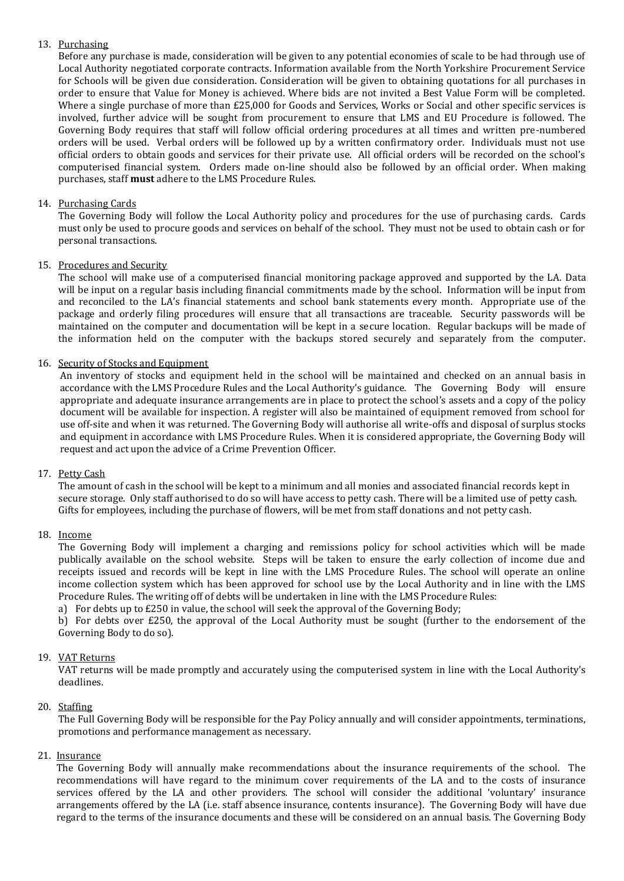## 13. Purchasing

Before any purchase is made, consideration will be given to any potential economies of scale to be had through use of Local Authority negotiated corporate contracts. Information available from the North Yorkshire Procurement Service for Schools will be given due consideration. Consideration will be given to obtaining quotations for all purchases in order to ensure that Value for Money is achieved. Where bids are not invited a Best Value Form will be completed. Where a single purchase of more than £25,000 for Goods and Services, Works or Social and other specific services is involved, further advice will be sought from procurement to ensure that LMS and EU Procedure is followed. The Governing Body requires that staff will follow official ordering procedures at all times and written pre-numbered orders will be used. Verbal orders will be followed up by a written confirmatory order. Individuals must not use official orders to obtain goods and services for their private use. All official orders will be recorded on the school's computerised financial system. Orders made on-line should also be followed by an official order. When making purchases, staff **must** adhere to the LMS Procedure Rules.

## 14. Purchasing Cards

The Governing Body will follow the Local Authority policy and procedures for the use of purchasing cards. Cards must only be used to procure goods and services on behalf of the school. They must not be used to obtain cash or for personal transactions.

### 15. Procedures and Security

The school will make use of a computerised financial monitoring package approved and supported by the LA. Data will be input on a regular basis including financial commitments made by the school. Information will be input from and reconciled to the LA's financial statements and school bank statements every month. Appropriate use of the package and orderly filing procedures will ensure that all transactions are traceable. Security passwords will be maintained on the computer and documentation will be kept in a secure location. Regular backups will be made of the information held on the computer with the backups stored securely and separately from the computer.

### 16. Security of Stocks and Equipment

An inventory of stocks and equipment held in the school will be maintained and checked on an annual basis in accordance with the LMS Procedure Rules and the Local Authority's guidance. The Governing Body will ensure appropriate and adequate insurance arrangements are in place to protect the school's assets and a copy of the policy document will be available for inspection. A register will also be maintained of equipment removed from school for use off-site and when it was returned. The Governing Body will authorise all write-offs and disposal of surplus stocks and equipment in accordance with LMS Procedure Rules. When it is considered appropriate, the Governing Body will request and act upon the advice of a Crime Prevention Officer.

### 17. Petty Cash

The amount of cash in the school will be kept to a minimum and all monies and associated financial records kept in secure storage. Only staff authorised to do so will have access to petty cash. There will be a limited use of petty cash. Gifts for employees, including the purchase of flowers, will be met from staff donations and not petty cash.

### 18. Income

The Governing Body will implement a charging and remissions policy for school activities which will be made publically available on the school website. Steps will be taken to ensure the early collection of income due and receipts issued and records will be kept in line with the LMS Procedure Rules. The school will operate an online income collection system which has been approved for school use by the Local Authority and in line with the LMS Procedure Rules. The writing off of debts will be undertaken in line with the LMS Procedure Rules:

a) For debts up to £250 in value, the school will seek the approval of the Governing Body;

b) For debts over £250, the approval of the Local Authority must be sought (further to the endorsement of the Governing Body to do so).

### 19. VAT Returns

VAT returns will be made promptly and accurately using the computerised system in line with the Local Authority's deadlines.

### 20. Staffing

The Full Governing Body will be responsible for the Pay Policy annually and will consider appointments, terminations, promotions and performance management as necessary.

### 21. Insurance

The Governing Body will annually make recommendations about the insurance requirements of the school. The recommendations will have regard to the minimum cover requirements of the LA and to the costs of insurance services offered by the LA and other providers. The school will consider the additional 'voluntary' insurance arrangements offered by the LA (i.e. staff absence insurance, contents insurance). The Governing Body will have due regard to the terms of the insurance documents and these will be considered on an annual basis. The Governing Body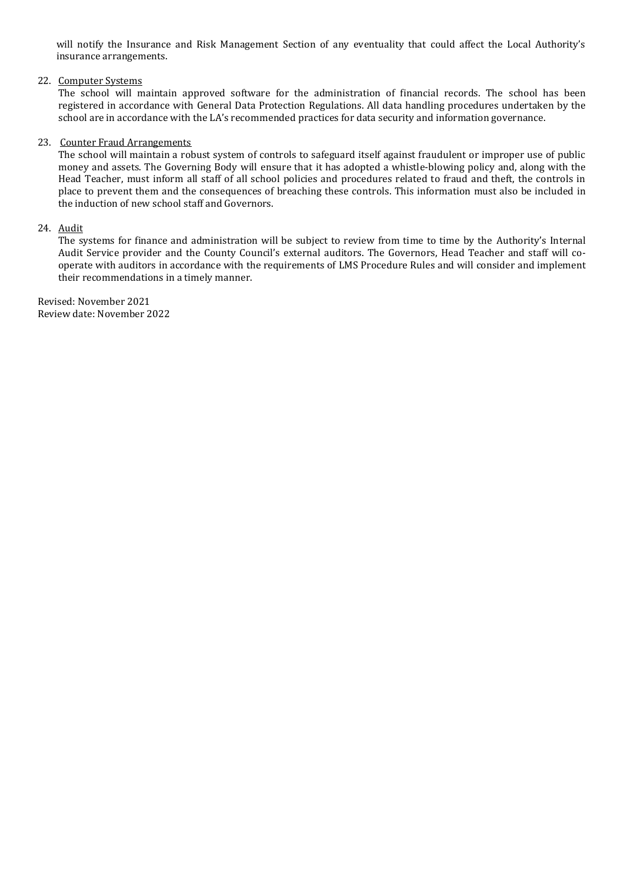will notify the Insurance and Risk Management Section of any eventuality that could affect the Local Authority's insurance arrangements.

#### 22. Computer Systems

The school will maintain approved software for the administration of financial records. The school has been registered in accordance with General Data Protection Regulations. All data handling procedures undertaken by the school are in accordance with the LA's recommended practices for data security and information governance.

#### 23. Counter Fraud Arrangements

The school will maintain a robust system of controls to safeguard itself against fraudulent or improper use of public money and assets. The Governing Body will ensure that it has adopted a whistle-blowing policy and, along with the Head Teacher, must inform all staff of all school policies and procedures related to fraud and theft, the controls in place to prevent them and the consequences of breaching these controls. This information must also be included in the induction of new school staff and Governors.

#### 24. Audit

The systems for finance and administration will be subject to review from time to time by the Authority's Internal Audit Service provider and the County Council's external auditors. The Governors, Head Teacher and staff will cooperate with auditors in accordance with the requirements of LMS Procedure Rules and will consider and implement their recommendations in a timely manner.

Revised: November 2021 Review date: November 2022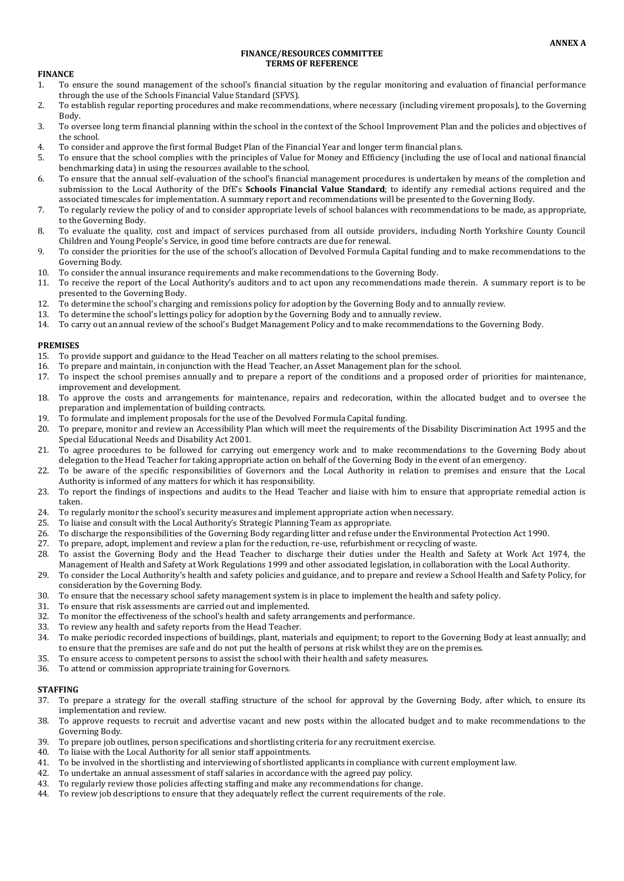#### **FINANCE/RESOURCES COMMITTEE TERMS OF REFERENCE**

#### **FINANCE**

- 1. To ensure the sound management of the school's financial situation by the regular monitoring and evaluation of financial performance through the use of the Schools Financial Value Standard (SFVS).
- 2. To establish regular reporting procedures and make recommendations, where necessary (including virement proposals), to the Governing Body.
- 3. To oversee long term financial planning within the school in the context of the School Improvement Plan and the policies and objectives of the school.
- 4. To consider and approve the first formal Budget Plan of the Financial Year and longer term financial plans.
- 5. To ensure that the school complies with the principles of Value for Money and Efficiency (including the use of local and national financial benchmarking data) in using the resources available to the school.
- 6. To ensure that the annual self-evaluation of the school's financial management procedures is undertaken by means of the completion and submission to the Local Authority of the DfE's **Schools Financial Value Standard**; to identify any remedial actions required and the associated timescales for implementation. A summary report and recommendations will be presented to the Governing Body.
- 7. To regularly review the policy of and to consider appropriate levels of school balances with recommendations to be made, as appropriate, to the Governing Body.
- 8. To evaluate the quality, cost and impact of services purchased from all outside providers, including North Yorkshire County Council Children and Young People's Service, in good time before contracts are due for renewal.
- 9. To consider the priorities for the use of the school's allocation of Devolved Formula Capital funding and to make recommendations to the Governing Body.
- 10. To consider the annual insurance requirements and make recommendations to the Governing Body.
- 11. To receive the report of the Local Authority's auditors and to act upon any recommendations made therein. A summary report is to be presented to the Governing Body.
- 12. To determine the school's charging and remissions policy for adoption by the Governing Body and to annually review.
- 13. To determine the school's lettings policy for adoption by the Governing Body and to annually review.
- 14. To carry out an annual review of the school's Budget Management Policy and to make recommendations to the Governing Body.

#### **PREMISES**

- 15. To provide support and guidance to the Head Teacher on all matters relating to the school premises.
- 16. To prepare and maintain, in conjunction with the Head Teacher, an Asset Management plan for the school.
- 17. To inspect the school premises annually and to prepare a report of the conditions and a proposed order of priorities for maintenance, improvement and development.
- 18. To approve the costs and arrangements for maintenance, repairs and redecoration, within the allocated budget and to oversee the preparation and implementation of building contracts.
- 19. To formulate and implement proposals for the use of the Devolved Formula Capital funding.
- 20. To prepare, monitor and review an Accessibility Plan which will meet the requirements of the Disability Discrimination Act 1995 and the Special Educational Needs and Disability Act 2001.
- 21. To agree procedures to be followed for carrying out emergency work and to make recommendations to the Governing Body about delegation to the Head Teacher for taking appropriate action on behalf of the Governing Body in the event of an emergency.
- 22. To be aware of the specific responsibilities of Governors and the Local Authority in relation to premises and ensure that the Local Authority is informed of any matters for which it has responsibility.
- 23. To report the findings of inspections and audits to the Head Teacher and liaise with him to ensure that appropriate remedial action is taken.
- 24. To regularly monitor the school's security measures and implement appropriate action when necessary.
- 25. To liaise and consult with the Local Authority's Strategic Planning Team as appropriate.
- 26. To discharge the responsibilities of the Governing Body regarding litter and refuse under the Environmental Protection Act 1990.
- 27. To prepare, adopt, implement and review a plan for the reduction, re-use, refurbishment or recycling of waste. 28. To assist the Governing Body and the Head Teacher to discharge their duties under the Health and Safety at Work Act 1974, the
- Management of Health and Safety at Work Regulations 1999 and other associated legislation, in collaboration with the Local Authority. 29. To consider the Local Authority's health and safety policies and guidance, and to prepare and review a School Health and Safety Policy, for consideration by the Governing Body.
- 30. To ensure that the necessary school safety management system is in place to implement the health and safety policy.
- 31. To ensure that risk assessments are carried out and implemented.
- 32. To monitor the effectiveness of the school's health and safety arrangements and performance.
- 33. To review any health and safety reports from the Head Teacher.
- 34. To make periodic recorded inspections of buildings, plant, materials and equipment; to report to the Governing Body at least annually; and to ensure that the premises are safe and do not put the health of persons at risk whilst they are on the premises.
- 35. To ensure access to competent persons to assist the school with their health and safety measures.
- 36. To attend or commission appropriate training for Governors.

#### **STAFFING**

- 37. To prepare a strategy for the overall staffing structure of the school for approval by the Governing Body, after which, to ensure its implementation and review.
- 38. To approve requests to recruit and advertise vacant and new posts within the allocated budget and to make recommendations to the Governing Body.
- 39. To prepare job outlines, person specifications and shortlisting criteria for any recruitment exercise.
- 40. To liaise with the Local Authority for all senior staff appointments.
- 41. To be involved in the shortlisting and interviewing of shortlisted applicants in compliance with current employment law.
- 42. To undertake an annual assessment of staff salaries in accordance with the agreed pay policy.
- 43. To regularly review those policies affecting staffing and make any recommendations for change.
- 44. To review job descriptions to ensure that they adequately reflect the current requirements of the role.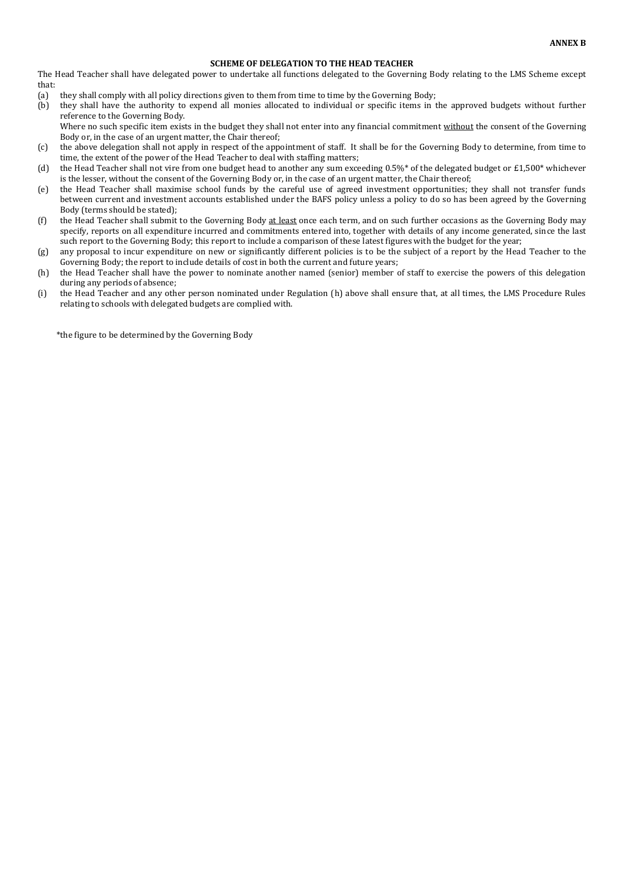#### **SCHEME OF DELEGATION TO THE HEAD TEACHER**

The Head Teacher shall have delegated power to undertake all functions delegated to the Governing Body relating to the LMS Scheme except that:

- (a) they shall comply with all policy directions given to them from time to time by the Governing Body;
- (b) they shall have the authority to expend all monies allocated to individual or specific items in the approved budgets without further reference to the Governing Body.

Where no such specific item exists in the budget they shall not enter into any financial commitment without the consent of the Governing Body or, in the case of an urgent matter, the Chair thereof;

- (c) the above delegation shall not apply in respect of the appointment of staff. It shall be for the Governing Body to determine, from time to time, the extent of the power of the Head Teacher to deal with staffing matters;
- (d) the Head Teacher shall not vire from one budget head to another any sum exceeding  $0.5\%$  of the delegated budget or £1,500\* whichever is the lesser, without the consent of the Governing Body or, in the case of an urgent matter, the Chair thereof;
- (e) the Head Teacher shall maximise school funds by the careful use of agreed investment opportunities; they shall not transfer funds between current and investment accounts established under the BAFS policy unless a policy to do so has been agreed by the Governing Body (terms should be stated);
- (f) the Head Teacher shall submit to the Governing Body at least once each term, and on such further occasions as the Governing Body may specify, reports on all expenditure incurred and commitments entered into, together with details of any income generated, since the last such report to the Governing Body; this report to include a comparison of these latest figures with the budget for the year;
- (g) any proposal to incur expenditure on new or significantly different policies is to be the subject of a report by the Head Teacher to the Governing Body; the report to include details of cost in both the current and future years;
- (h) the Head Teacher shall have the power to nominate another named (senior) member of staff to exercise the powers of this delegation during any periods of absence;
- (i) the Head Teacher and any other person nominated under Regulation (h) above shall ensure that, at all times, the LMS Procedure Rules relating to schools with delegated budgets are complied with.

\*the figure to be determined by the Governing Body